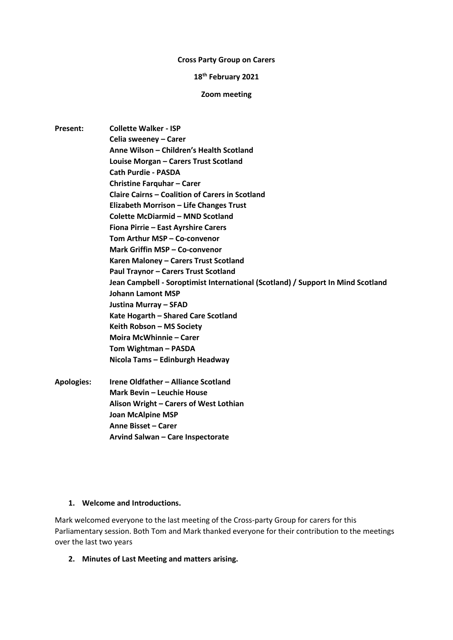#### **Cross Party Group on Carers**

#### **18th February 2021**

#### **Zoom meeting**

**Present: Collette Walker - ISP Celia sweeney – Carer Anne Wilson – Children's Health Scotland Louise Morgan – Carers Trust Scotland Cath Purdie - PASDA Christine Farquhar – Carer Claire Cairns – Coalition of Carers in Scotland Elizabeth Morrison – Life Changes Trust Colette McDiarmid – MND Scotland Fiona Pirrie – East Ayrshire Carers Tom Arthur MSP – Co-convenor Mark Griffin MSP – Co-convenor Karen Maloney – Carers Trust Scotland Paul Traynor – Carers Trust Scotland Jean Campbell - Soroptimist International (Scotland) / Support In Mind Scotland Johann Lamont MSP Justina Murray – SFAD Kate Hogarth – Shared Care Scotland Keith Robson – MS Society Moira McWhinnie – Carer Tom Wightman – PASDA Nicola Tams – Edinburgh Headway Apologies: Irene Oldfather – Alliance Scotland Mark Bevin – Leuchie House Alison Wright – Carers of West Lothian Joan McAlpine MSP Anne Bisset – Carer**

**Arvind Salwan – Care Inspectorate**

## **1. Welcome and Introductions.**

Mark welcomed everyone to the last meeting of the Cross-party Group for carers for this Parliamentary session. Both Tom and Mark thanked everyone for their contribution to the meetings over the last two years

**2. Minutes of Last Meeting and matters arising.**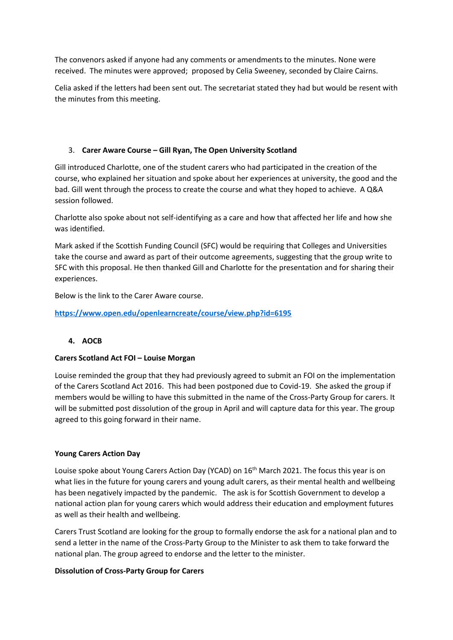The convenors asked if anyone had any comments or amendments to the minutes. None were received. The minutes were approved; proposed by Celia Sweeney, seconded by Claire Cairns.

Celia asked if the letters had been sent out. The secretariat stated they had but would be resent with the minutes from this meeting.

## 3. **Carer Aware Course – Gill Ryan, The Open University Scotland**

Gill introduced Charlotte, one of the student carers who had participated in the creation of the course, who explained her situation and spoke about her experiences at university, the good and the bad. Gill went through the process to create the course and what they hoped to achieve. A Q&A session followed.

Charlotte also spoke about not self-identifying as a care and how that affected her life and how she was identified.

Mark asked if the Scottish Funding Council (SFC) would be requiring that Colleges and Universities take the course and award as part of their outcome agreements, suggesting that the group write to SFC with this proposal. He then thanked Gill and Charlotte for the presentation and for sharing their experiences.

Below is the link to the Carer Aware course.

**[https://www.open.edu/openlearncreate/course/view.php?id=6195](https://eur03.safelinks.protection.outlook.com/?url=https%3A%2F%2Fwww.open.edu%2Fopenlearncreate%2Fcourse%2Fview.php%3Fid%3D6195&data=04%7C01%7Ckmaloney%40carers.org%7C21432712af994e5d566608d8d40c45aa%7Cab2c7765872f4cfab4d076f738a2ac3d%7C1%7C0%7C637492496467618592%7CUnknown%7CTWFpbGZsb3d8eyJWIjoiMC4wLjAwMDAiLCJQIjoiV2luMzIiLCJBTiI6Ik1haWwiLCJXVCI6Mn0%3D%7C1000&sdata=GqYb5nMRzAxKDDKzxlKfzwi42JOnIF2H1ykF52H9Cj0%3D&reserved=0)**

# **4. AOCB**

## **Carers Scotland Act FOI – Louise Morgan**

Louise reminded the group that they had previously agreed to submit an FOI on the implementation of the Carers Scotland Act 2016. This had been postponed due to Covid-19. She asked the group if members would be willing to have this submitted in the name of the Cross-Party Group for carers. It will be submitted post dissolution of the group in April and will capture data for this year. The group agreed to this going forward in their name.

## **Young Carers Action Day**

Louise spoke about Young Carers Action Day (YCAD) on 16<sup>th</sup> March 2021. The focus this year is on what lies in the future for young carers and young adult carers, as their mental health and wellbeing has been negatively impacted by the pandemic. The ask is for Scottish Government to develop a national action plan for young carers which would address their education and employment futures as well as their health and wellbeing.

Carers Trust Scotland are looking for the group to formally endorse the ask for a national plan and to send a letter in the name of the Cross-Party Group to the Minister to ask them to take forward the national plan. The group agreed to endorse and the letter to the minister.

# **Dissolution of Cross-Party Group for Carers**